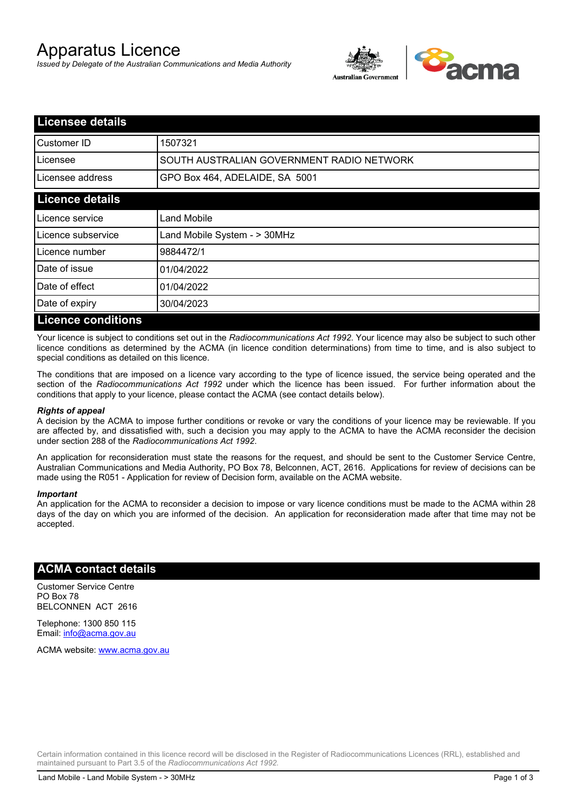# Apparatus Licence

*Issued by Delegate of the Australian Communications and Media Authority*



| <b>Licensee details</b>   |                                           |
|---------------------------|-------------------------------------------|
| <b>I</b> Customer ID      | 1507321                                   |
| Licensee                  | SOUTH AUSTRALIAN GOVERNMENT RADIO NETWORK |
| Licensee address          | GPO Box 464, ADELAIDE, SA 5001            |
| <b>Licence details</b>    |                                           |
| Licence service           | <b>Land Mobile</b>                        |
| Licence subservice        | Land Mobile System - > 30MHz              |
| Licence number            | 9884472/1                                 |
| Date of issue             | 01/04/2022                                |
| Date of effect            | 01/04/2022                                |
| Date of expiry            | 30/04/2023                                |
| <b>Licence conditions</b> |                                           |

Your licence is subject to conditions set out in the *Radiocommunications Act 1992*. Your licence may also be subject to such other licence conditions as determined by the ACMA (in licence condition determinations) from time to time, and is also subject to special conditions as detailed on this licence.

The conditions that are imposed on a licence vary according to the type of licence issued, the service being operated and the section of the *Radiocommunications Act 1992* under which the licence has been issued. For further information about the conditions that apply to your licence, please contact the ACMA (see contact details below).

#### *Rights of appeal*

A decision by the ACMA to impose further conditions or revoke or vary the conditions of your licence may be reviewable. If you are affected by, and dissatisfied with, such a decision you may apply to the ACMA to have the ACMA reconsider the decision under section 288 of the *Radiocommunications Act 1992*.

An application for reconsideration must state the reasons for the request, and should be sent to the Customer Service Centre, Australian Communications and Media Authority, PO Box 78, Belconnen, ACT, 2616. Applications for review of decisions can be made using the R051 - Application for review of Decision form, available on the ACMA website.

#### *Important*

An application for the ACMA to reconsider a decision to impose or vary licence conditions must be made to the ACMA within 28 days of the day on which you are informed of the decision. An application for reconsideration made after that time may not be accepted.

#### **ACMA contact details**

Customer Service Centre PO Box 78 BELCONNEN ACT 2616

Telephone: 1300 850 115 Email: info@acma.gov.au

ACMA website: www.acma.gov.au

Certain information contained in this licence record will be disclosed in the Register of Radiocommunications Licences (RRL), established and maintained pursuant to Part 3.5 of the *Radiocommunications Act 1992.*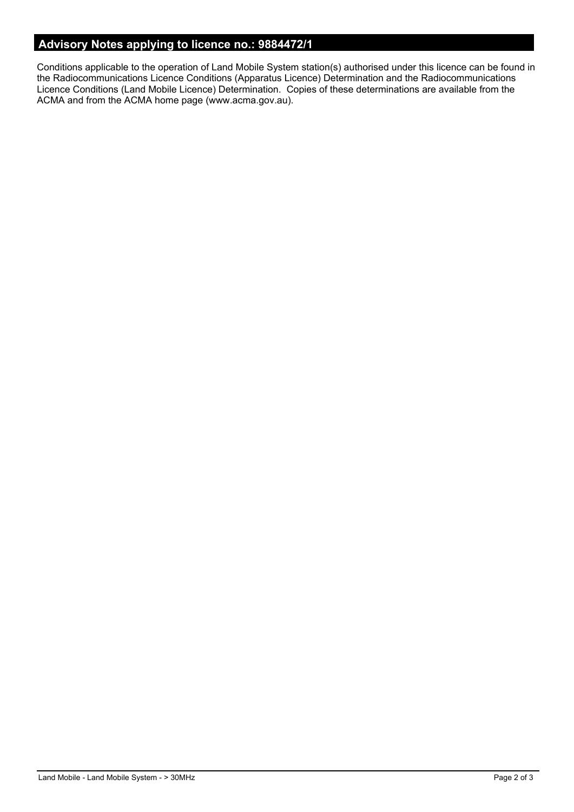## **Advisory Notes applying to licence no.: 9884472/1**

Conditions applicable to the operation of Land Mobile System station(s) authorised under this licence can be found in the Radiocommunications Licence Conditions (Apparatus Licence) Determination and the Radiocommunications Licence Conditions (Land Mobile Licence) Determination. Copies of these determinations are available from the ACMA and from the ACMA home page (www.acma.gov.au).